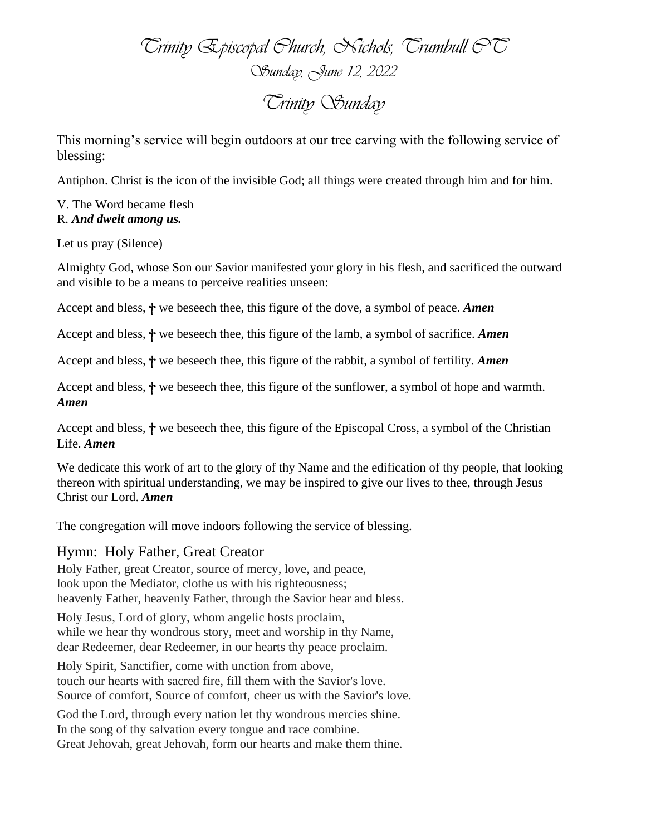# *Trinity Episcopal Church, Nichols, Trumbull CT Sunday, June 12, 2022 Trinity Sunday*

This morning's service will begin outdoors at our tree carving with the following service of blessing:

Antiphon. Christ is the icon of the invisible God; all things were created through him and for him.

#### V. The Word became flesh R. *And dwelt among us.*

Let us pray (Silence)

Almighty God, whose Son our Savior manifested your glory in his flesh, and sacrificed the outward and visible to be a means to perceive realities unseen:

Accept and bless, ⴕ we beseech thee, this figure of the dove, a symbol of peace. *Amen*

Accept and bless, ⴕ we beseech thee, this figure of the lamb, a symbol of sacrifice. *Amen*

Accept and bless, ⴕ we beseech thee, this figure of the rabbit, a symbol of fertility. *Amen*

Accept and bless,  $\dagger$  we beseech thee, this figure of the sunflower, a symbol of hope and warmth. *Amen*

Accept and bless,  $\dagger$  we beseech thee, this figure of the Episcopal Cross, a symbol of the Christian Life. *Amen*

We dedicate this work of art to the glory of thy Name and the edification of thy people, that looking thereon with spiritual understanding, we may be inspired to give our lives to thee, through Jesus Christ our Lord. *Amen*

The congregation will move indoors following the service of blessing.

# Hymn: Holy Father, Great Creator

Holy Father, great Creator, source of mercy, love, and peace, look upon the Mediator, clothe us with his righteousness; heavenly Father, heavenly Father, through the Savior hear and bless.

Holy Jesus, Lord of glory, whom angelic hosts proclaim, while we hear thy wondrous story, meet and worship in thy Name, dear Redeemer, dear Redeemer, in our hearts thy peace proclaim.

Holy Spirit, Sanctifier, come with unction from above, touch our hearts with sacred fire, fill them with the Savior's love. Source of comfort, Source of comfort, cheer us with the Savior's love.

God the Lord, through every nation let thy wondrous mercies shine. In the song of thy salvation every tongue and race combine. Great Jehovah, great Jehovah, form our hearts and make them thine.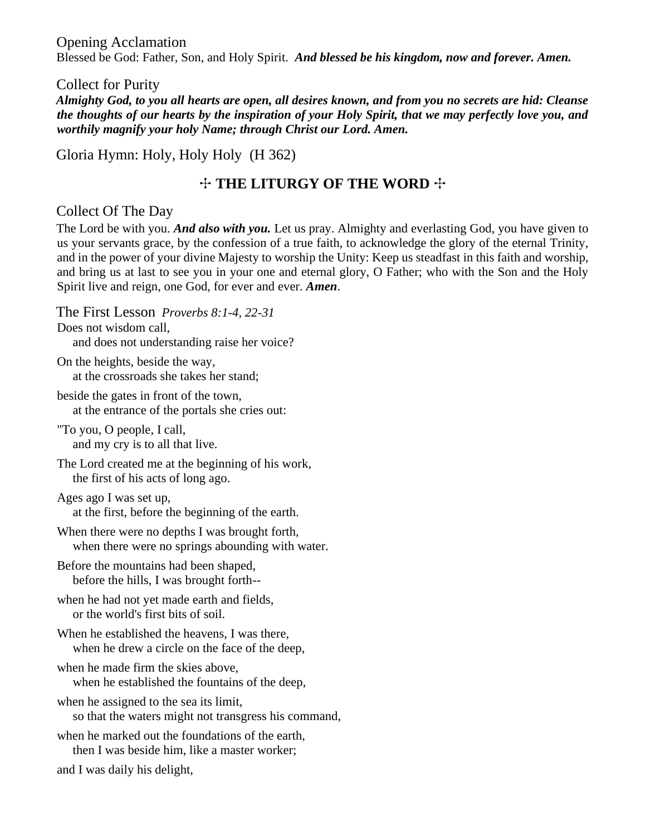Opening Acclamation Blessed be God: Father, Son, and Holy Spirit. *And blessed be his kingdom, now and forever. Amen.*

Collect for Purity *Almighty God, to you all hearts are open, all desires known, and from you no secrets are hid: Cleanse the thoughts of our hearts by the inspiration of your Holy Spirit, that we may perfectly love you, and worthily magnify your holy Name; through Christ our Lord. Amen.* 

Gloria Hymn: Holy, Holy Holy (H 362)

# ✣ **THE LITURGY OF THE WORD** ✣

# Collect Of The Day

The Lord be with you. *And also with you.* Let us pray. Almighty and everlasting God, you have given to us your servants grace, by the confession of a true faith, to acknowledge the glory of the eternal Trinity, and in the power of your divine Majesty to worship the Unity: Keep us steadfast in this faith and worship, and bring us at last to see you in your one and eternal glory, O Father; who with the Son and the Holy Spirit live and reign, one God, for ever and ever. *Amen*.

The First Lesson *Proverbs 8:1-4, 22-31* Does not wisdom call, and does not understanding raise her voice? On the heights, beside the way, at the crossroads she takes her stand; beside the gates in front of the town, at the entrance of the portals she cries out: "To you, O people, I call, and my cry is to all that live. The Lord created me at the beginning of his work, the first of his acts of long ago. Ages ago I was set up, at the first, before the beginning of the earth. When there were no depths I was brought forth, when there were no springs abounding with water. Before the mountains had been shaped, before the hills, I was brought forth- when he had not yet made earth and fields, or the world's first bits of soil. When he established the heavens, I was there, when he drew a circle on the face of the deep, when he made firm the skies above, when he established the fountains of the deep, when he assigned to the sea its limit, so that the waters might not transgress his command, when he marked out the foundations of the earth, then I was beside him, like a master worker;

and I was daily his delight,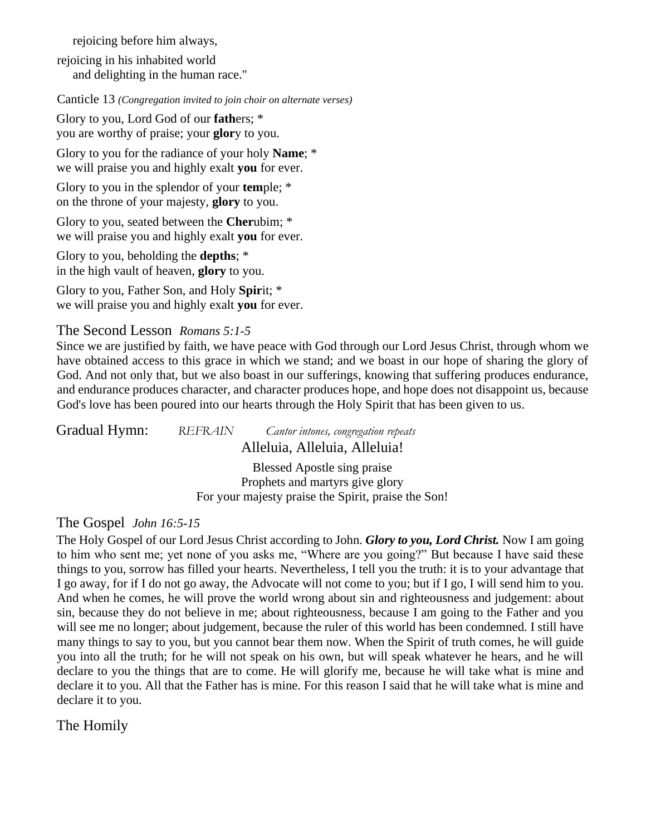rejoicing before him always,

rejoicing in his inhabited world and delighting in the human race."

Canticle 13 *(Congregation invited to join choir on alternate verses)*

Glory to you, Lord God of our **fath**ers; \* you are worthy of praise; your **glor**y to you.

Glory to you for the radiance of your holy **Name**; \* we will praise you and highly exalt **you** for ever.

Glory to you in the splendor of your **tem**ple; \* on the throne of your majesty, **glory** to you.

Glory to you, seated between the **Cher**ubim; \* we will praise you and highly exalt **you** for ever.

Glory to you, beholding the **depths**; \* in the high vault of heaven, **glory** to you.

Glory to you, Father Son, and Holy **Spir**it; \* we will praise you and highly exalt **you** for ever.

## The Second Lesson *Romans 5:1-5*

Since we are justified by faith, we have peace with God through our Lord Jesus Christ, through whom we have obtained access to this grace in which we stand; and we boast in our hope of sharing the glory of God. And not only that, but we also boast in our sufferings, knowing that suffering produces endurance, and endurance produces character, and character produces hope, and hope does not disappoint us, because God's love has been poured into our hearts through the Holy Spirit that has been given to us.

Gradual Hymn: *REFRAIN Cantor intones, congregation repeats*

Alleluia, Alleluia, Alleluia!

Blessed Apostle sing praise Prophets and martyrs give glory For your majesty praise the Spirit, praise the Son!

The Gospel *John 16:5-15*

The Holy Gospel of our Lord Jesus Christ according to John. *Glory to you, Lord Christ.* Now I am going to him who sent me; yet none of you asks me, "Where are you going?" But because I have said these things to you, sorrow has filled your hearts. Nevertheless, I tell you the truth: it is to your advantage that I go away, for if I do not go away, the Advocate will not come to you; but if I go, I will send him to you. And when he comes, he will prove the world wrong about sin and righteousness and judgement: about sin, because they do not believe in me; about righteousness, because I am going to the Father and you will see me no longer; about judgement, because the ruler of this world has been condemned. I still have many things to say to you, but you cannot bear them now. When the Spirit of truth comes, he will guide you into all the truth; for he will not speak on his own, but will speak whatever he hears, and he will declare to you the things that are to come. He will glorify me, because he will take what is mine and declare it to you. All that the Father has is mine. For this reason I said that he will take what is mine and declare it to you.

The Homily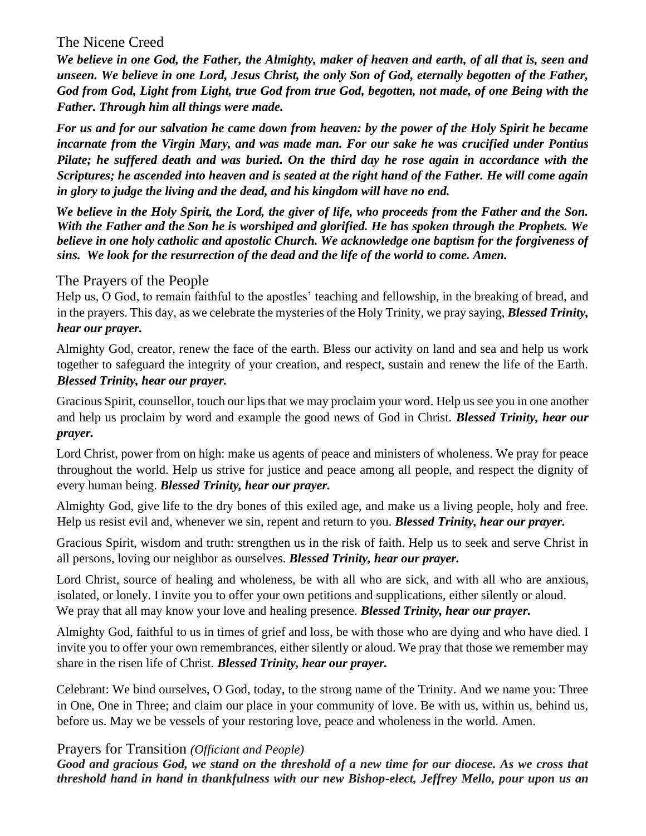# The Nicene Creed

*We believe in one God, the Father, the Almighty, maker of heaven and earth, of all that is, seen and unseen. We believe in one Lord, Jesus Christ, the only Son of God, eternally begotten of the Father, God from God, Light from Light, true God from true God, begotten, not made, of one Being with the Father. Through him all things were made.* 

*For us and for our salvation he came down from heaven: by the power of the Holy Spirit he became incarnate from the Virgin Mary, and was made man. For our sake he was crucified under Pontius Pilate; he suffered death and was buried. On the third day he rose again in accordance with the Scriptures; he ascended into heaven and is seated at the right hand of the Father. He will come again in glory to judge the living and the dead, and his kingdom will have no end.* 

*We believe in the Holy Spirit, the Lord, the giver of life, who proceeds from the Father and the Son. With the Father and the Son he is worshiped and glorified. He has spoken through the Prophets. We believe in one holy catholic and apostolic Church. We acknowledge one baptism for the forgiveness of sins. We look for the resurrection of the dead and the life of the world to come. Amen.* 

# The Prayers of the People

Help us, O God, to remain faithful to the apostles' teaching and fellowship, in the breaking of bread, and in the prayers. This day, as we celebrate the mysteries of the Holy Trinity, we pray saying, *Blessed Trinity, hear our prayer.*

Almighty God, creator, renew the face of the earth. Bless our activity on land and sea and help us work together to safeguard the integrity of your creation, and respect, sustain and renew the life of the Earth. *Blessed Trinity, hear our prayer.*

Gracious Spirit, counsellor, touch our lips that we may proclaim your word. Help us see you in one another and help us proclaim by word and example the good news of God in Christ. *Blessed Trinity, hear our prayer.* 

Lord Christ, power from on high: make us agents of peace and ministers of wholeness. We pray for peace throughout the world. Help us strive for justice and peace among all people, and respect the dignity of every human being. *Blessed Trinity, hear our prayer.*

Almighty God, give life to the dry bones of this exiled age, and make us a living people, holy and free. Help us resist evil and, whenever we sin, repent and return to you. *Blessed Trinity, hear our prayer.*

Gracious Spirit, wisdom and truth: strengthen us in the risk of faith. Help us to seek and serve Christ in all persons, loving our neighbor as ourselves. *Blessed Trinity, hear our prayer.*

Lord Christ, source of healing and wholeness, be with all who are sick, and with all who are anxious, isolated, or lonely. I invite you to offer your own petitions and supplications, either silently or aloud. We pray that all may know your love and healing presence. *Blessed Trinity, hear our prayer.*

Almighty God, faithful to us in times of grief and loss, be with those who are dying and who have died. I invite you to offer your own remembrances, either silently or aloud. We pray that those we remember may share in the risen life of Christ. *Blessed Trinity, hear our prayer.* 

Celebrant: We bind ourselves, O God, today, to the strong name of the Trinity. And we name you: Three in One, One in Three; and claim our place in your community of love. Be with us, within us, behind us, before us. May we be vessels of your restoring love, peace and wholeness in the world. Amen.

## Prayers for Transition *(Officiant and People)*

*Good and gracious God, we stand on the threshold of a new time for our diocese. As we cross that threshold hand in hand in thankfulness with our new Bishop-elect, Jeffrey Mello, pour upon us an*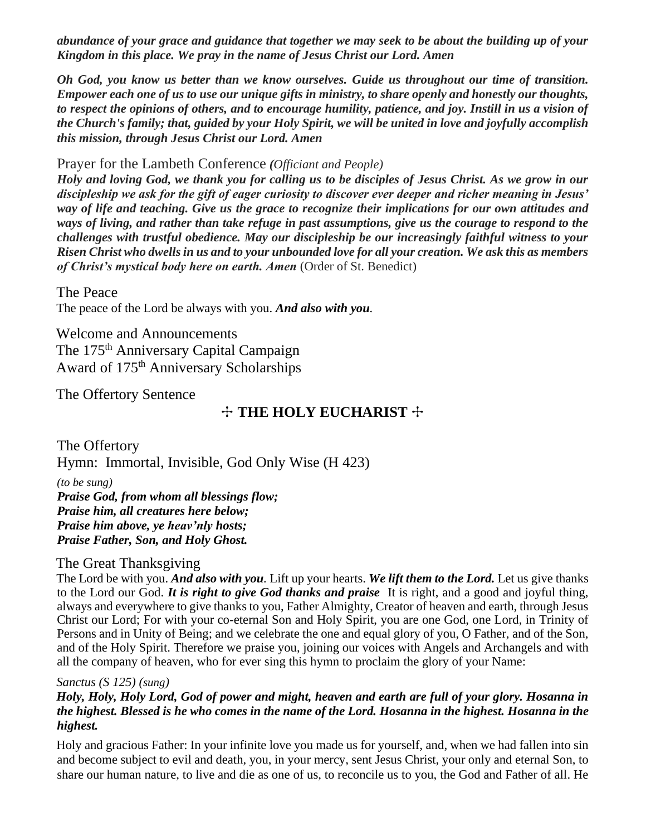*abundance of your grace and guidance that together we may seek to be about the building up of your Kingdom in this place. We pray in the name of Jesus Christ our Lord. Amen*

*Oh God, you know us better than we know ourselves. Guide us throughout our time of transition. Empower each one of us to use our unique gifts in ministry, to share openly and honestly our thoughts, to respect the opinions of others, and to encourage humility, patience, and joy. Instill in us a vision of the Church's family; that, guided by your Holy Spirit, we will be united in love and joyfully accomplish this mission, through Jesus Christ our Lord. Amen*

#### Prayer for the Lambeth Conference *(Officiant and People)*

*Holy and loving God, we thank you for calling us to be disciples of Jesus Christ. As we grow in our discipleship we ask for the gift of eager curiosity to discover ever deeper and richer meaning in Jesus' way of life and teaching. Give us the grace to recognize their implications for our own attitudes and ways of living, and rather than take refuge in past assumptions, give us the courage to respond to the challenges with trustful obedience. May our discipleship be our increasingly faithful witness to your Risen Christ who dwells in us and to your unbounded love for all your creation. We ask this as members of Christ's mystical body here on earth. Amen* (Order of St. Benedict)

The Peace The peace of the Lord be always with you. *And also with you.*

Welcome and Announcements The 175<sup>th</sup> Anniversary Capital Campaign Award of 175<sup>th</sup> Anniversary Scholarships

The Offertory Sentence

# ✣ **THE HOLY EUCHARIST** ✣

The Offertory Hymn: Immortal, Invisible, God Only Wise (H 423) *(to be sung) Praise God, from whom all blessings flow; Praise him, all creatures here below; Praise him above, ye heav'nly hosts; Praise Father, Son, and Holy Ghost.*

#### The Great Thanksgiving

The Lord be with you. *And also with you.* Lift up your hearts. *We lift them to the Lord.* Let us give thanks to the Lord our God. *It is right to give God thanks and praise* It is right, and a good and joyful thing, always and everywhere to give thanks to you, Father Almighty, Creator of heaven and earth, through Jesus Christ our Lord; For with your co-eternal Son and Holy Spirit, you are one God, one Lord, in Trinity of Persons and in Unity of Being; and we celebrate the one and equal glory of you, O Father, and of the Son, and of the Holy Spirit. Therefore we praise you, joining our voices with Angels and Archangels and with all the company of heaven, who for ever sing this hymn to proclaim the glory of your Name:

#### *Sanctus (S 125) (sung)*

#### *Holy, Holy, Holy Lord, God of power and might, heaven and earth are full of your glory. Hosanna in the highest. Blessed is he who comes in the name of the Lord. Hosanna in the highest. Hosanna in the highest.*

Holy and gracious Father: In your infinite love you made us for yourself, and, when we had fallen into sin and become subject to evil and death, you, in your mercy, sent Jesus Christ, your only and eternal Son, to share our human nature, to live and die as one of us, to reconcile us to you, the God and Father of all. He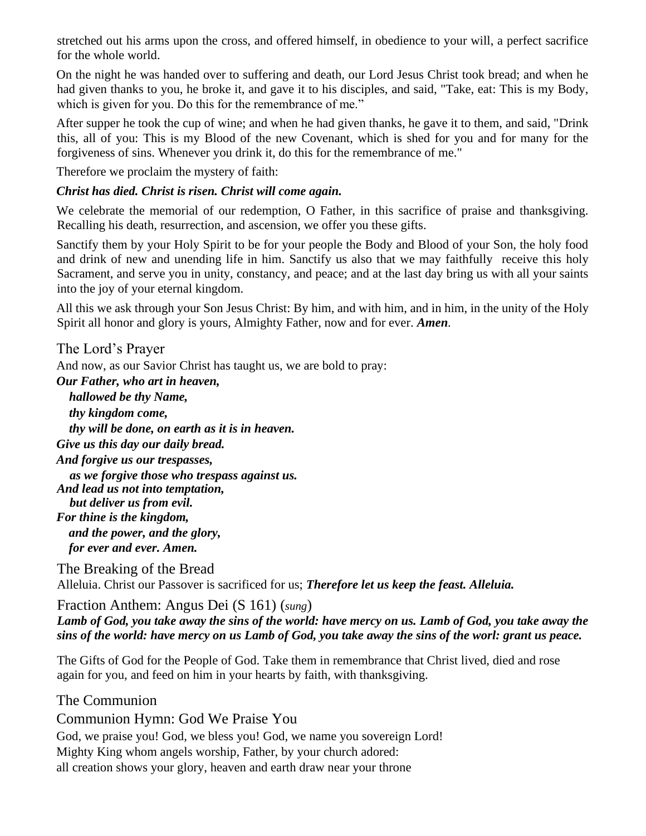stretched out his arms upon the cross, and offered himself, in obedience to your will, a perfect sacrifice for the whole world.

On the night he was handed over to suffering and death, our Lord Jesus Christ took bread; and when he had given thanks to you, he broke it, and gave it to his disciples, and said, "Take, eat: This is my Body, which is given for you. Do this for the remembrance of me."

After supper he took the cup of wine; and when he had given thanks, he gave it to them, and said, "Drink this, all of you: This is my Blood of the new Covenant, which is shed for you and for many for the forgiveness of sins. Whenever you drink it, do this for the remembrance of me."

Therefore we proclaim the mystery of faith:

#### *Christ has died. Christ is risen. Christ will come again.*

We celebrate the memorial of our redemption, O Father, in this sacrifice of praise and thanksgiving. Recalling his death, resurrection, and ascension, we offer you these gifts.

Sanctify them by your Holy Spirit to be for your people the Body and Blood of your Son, the holy food and drink of new and unending life in him. Sanctify us also that we may faithfully receive this holy Sacrament, and serve you in unity, constancy, and peace; and at the last day bring us with all your saints into the joy of your eternal kingdom.

All this we ask through your Son Jesus Christ: By him, and with him, and in him, in the unity of the Holy Spirit all honor and glory is yours, Almighty Father, now and for ever. *Amen.*

The Lord's Prayer

And now, as our Savior Christ has taught us, we are bold to pray:

*Our Father, who art in heaven, hallowed be thy Name, thy kingdom come, thy will be done, on earth as it is in heaven. Give us this day our daily bread. And forgive us our trespasses, as we forgive those who trespass against us. And lead us not into temptation, but deliver us from evil. For thine is the kingdom, and the power, and the glory, for ever and ever. Amen.* 

The Breaking of the Bread Alleluia. Christ our Passover is sacrificed for us; *Therefore let us keep the feast. Alleluia.*

Fraction Anthem: Angus Dei (S 161) (*sung*) *Lamb of God, you take away the sins of the world: have mercy on us. Lamb of God, you take away the sins of the world: have mercy on us Lamb of God, you take away the sins of the worl: grant us peace.*

The Gifts of God for the People of God. Take them in remembrance that Christ lived, died and rose again for you, and feed on him in your hearts by faith, with thanksgiving.

The Communion

Communion Hymn: God We Praise You

God, we praise you! God, we bless you! God, we name you sovereign Lord! Mighty King whom angels worship, Father, by your church adored: all creation shows your glory, heaven and earth draw near your throne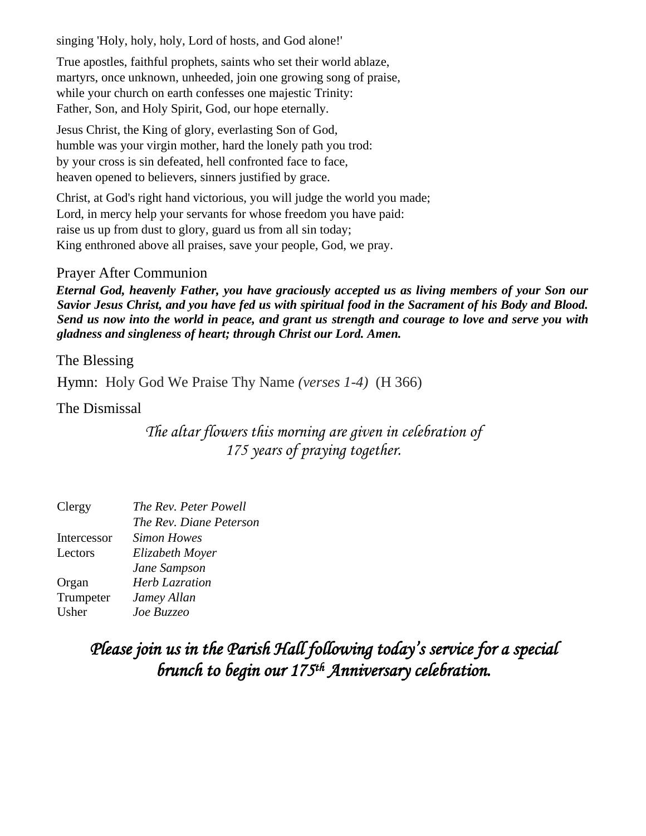singing 'Holy, holy, holy, Lord of hosts, and God alone!'

True apostles, faithful prophets, saints who set their world ablaze, martyrs, once unknown, unheeded, join one growing song of praise, while your church on earth confesses one majestic Trinity: Father, Son, and Holy Spirit, God, our hope eternally.

Jesus Christ, the King of glory, everlasting Son of God, humble was your virgin mother, hard the lonely path you trod: by your cross is sin defeated, hell confronted face to face, heaven opened to believers, sinners justified by grace.

Christ, at God's right hand victorious, you will judge the world you made; Lord, in mercy help your servants for whose freedom you have paid: raise us up from dust to glory, guard us from all sin today; King enthroned above all praises, save your people, God, we pray.

# Prayer After Communion

*Eternal God, heavenly Father, you have graciously accepted us as living members of your Son our Savior Jesus Christ, and you have fed us with spiritual food in the Sacrament of his Body and Blood. Send us now into the world in peace, and grant us strength and courage to love and serve you with gladness and singleness of heart; through Christ our Lord. Amen.* 

The Blessing

Hymn: Holy God We Praise Thy Name *(verses 1-4)* (H 366)

The Dismissal

*The altar flowers this morning are given in celebration of 175 years of praying together.*

| The Rev. Peter Powell   |
|-------------------------|
| The Rev. Diane Peterson |
| Simon Howes             |
| Elizabeth Moyer         |
| Jane Sampson            |
| Herb Lazration          |
| Jamey Allan             |
| Joe Buzzeo              |
|                         |

# *Please join us in the Parish Hall following today's service for a special brunch to begin our 175th Anniversary celebration.*